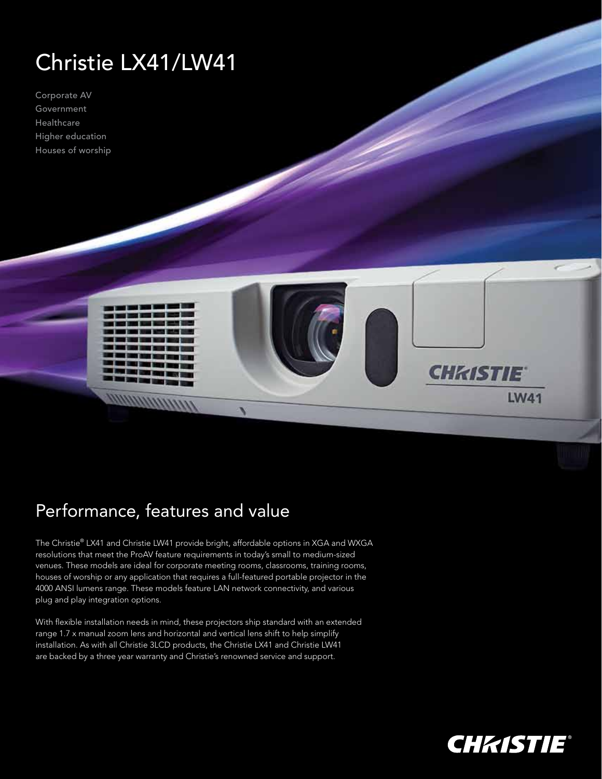## Christie LX41/LW41

Corporate AV Government Healthcare Higher education Houses of worship



## Performance, features and value

The Christie® LX41 and Christie LW41 provide bright, affordable options in XGA and WXGA resolutions that meet the ProAV feature requirements in today's small to medium-sized venues. These models are ideal for corporate meeting rooms, classrooms, training rooms, houses of worship or any application that requires a full-featured portable projector in the 4000 ANSI lumens range. These models feature LAN network connectivity, and various plug and play integration options.

With flexible installation needs in mind, these projectors ship standard with an extended range 1.7 x manual zoom lens and horizontal and vertical lens shift to help simplify installation. As with all Christie 3LCD products, the Christie LX41 and Christie LW41 are backed by a three year warranty and Christie's renowned service and support.